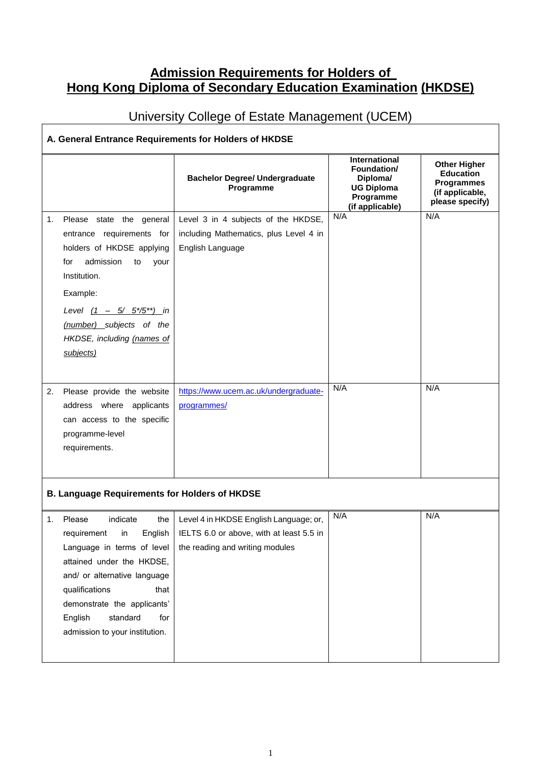## **Admission Requirements for Holders of Hong Kong Diploma of Secondary Education Examination (HKDSE)**

## University College of Estate Management (UCEM)

## **A. General Entrance Requirements for Holders of HKDSE**

|                                                      |                                                                                                                                                                                                                                                                                 | <b>Bachelor Degree/ Undergraduate</b><br>Programme                                                                    | International<br>Foundation/<br>Diploma/<br><b>UG Diploma</b><br>Programme<br>(if applicable) | <b>Other Higher</b><br><b>Education</b><br><b>Programmes</b><br>(if applicable,<br>please specify) |  |
|------------------------------------------------------|---------------------------------------------------------------------------------------------------------------------------------------------------------------------------------------------------------------------------------------------------------------------------------|-----------------------------------------------------------------------------------------------------------------------|-----------------------------------------------------------------------------------------------|----------------------------------------------------------------------------------------------------|--|
| 1.                                                   | Please state the general<br>entrance requirements for<br>holders of HKDSE applying<br>admission<br>for<br>to<br>your<br>Institution.<br>Example:<br>Level $(1 - 5/ 5*/5^{**})$ in<br>(number) subjects of the<br>HKDSE, including (names of<br>subjects)                        | Level 3 in 4 subjects of the HKDSE,<br>including Mathematics, plus Level 4 in<br>English Language                     | N/A                                                                                           | N/A                                                                                                |  |
| 2.                                                   | Please provide the website<br>address where applicants<br>can access to the specific<br>programme-level<br>requirements.                                                                                                                                                        | https://www.ucem.ac.uk/undergraduate-<br>programmes/                                                                  | N/A                                                                                           | N/A                                                                                                |  |
| <b>B. Language Requirements for Holders of HKDSE</b> |                                                                                                                                                                                                                                                                                 |                                                                                                                       |                                                                                               |                                                                                                    |  |
| 1.                                                   | Please<br>indicate<br>the<br>requirement<br>in<br>English  <br>Language in terms of level<br>attained under the HKDSE,<br>and/ or alternative language<br>qualifications<br>that<br>demonstrate the applicants'<br>standard<br>English<br>for<br>admission to your institution. | Level 4 in HKDSE English Language; or,<br>IELTS 6.0 or above, with at least 5.5 in<br>the reading and writing modules | N/A                                                                                           | N/A                                                                                                |  |